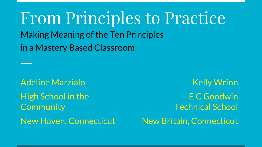From Principles to Practice Making Meaning of the Ten Principles in a Mastery Based Classroom

Adeline Marzialo High School in the **Community** New Haven, Connecticut

Kelly Wrinn E C Goodwin Technical School New Britain, Connecticut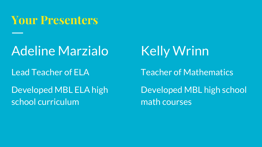#### **Your Presenters**

### Adeline Marzialo

#### Lead Teacher of ELA

#### Developed MBL ELA high school curriculum

## Kelly Wrinn

Teacher of Mathematics

Developed MBL high school math courses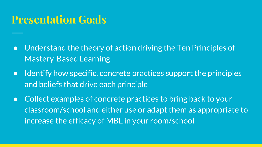#### **Presentation Goals**

- Understand the theory of action driving the Ten Principles of Mastery-Based Learning
- Identify how specific, concrete practices support the principles and beliefs that drive each principle
- Collect examples of concrete practices to bring back to your classroom/school and either use or adapt them as appropriate to increase the efficacy of MBL in your room/school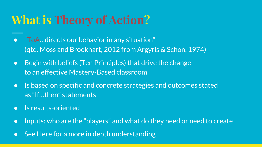## **What is Theory of Action?**

- "ToA…directs our behavior in any situation" (qtd. Moss and Brookhart, 2012 from Argyris & Schon, 1974)
- Begin with beliefs (Ten Principles) that drive the change to an effective Mastery-Based classroom
- Is based on specific and concrete strategies and outcomes stated as "If…then" statements
- Is results-oriented
- Inputs: who are the "players" and what do they need or need to create
- Se[e Here](http://www.seachangecop.org/sites/default/files/documents/2012%2011%20Theory-of-Action-Facilitation-Guide.pdf) for a more in depth understanding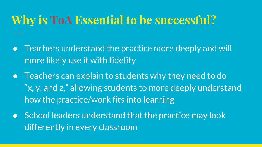## **Why is ToA Essential to be successful?**

- Teachers understand the practice more deeply and will more likely use it with fidelity
- Teachers can explain to students why they need to do "x, y, and z," allowing students to more deeply understand how the practice/work fits into learning
- School leaders understand that the practice may look differently in every classroom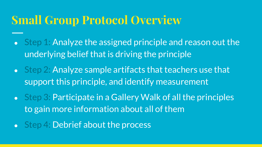#### **Small Group Protocol Overview**

- Step 1: Analyze the assigned principle and reason out the underlying belief that is driving the principle
- Step 2: Analyze sample artifacts that teachers use that support this principle, and identify measurement
- o Step 3: Participate in a Gallery Walk of all the principles to gain more information about all of them
- Step 4: Debrief about the process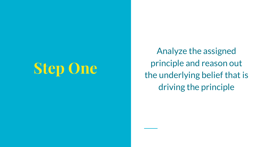# **Step One**

Analyze the assigned principle and reason out the underlying belief that is driving the principle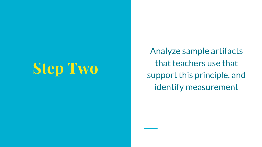# **Step Two**

Analyze sample artifacts that teachers use that support this principle, and identify measurement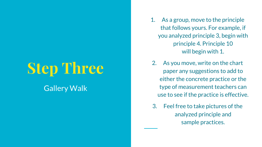# **Step Three**

#### Gallery Walk

- 1. As a group, move to the principle that follows yours. For example, if you analyzed principle 3, begin with principle 4. Principle 10 will begin with 1.
- 2. As you move, write on the chart paper any suggestions to add to either the concrete practice or the type of measurement teachers can use to see if the practice is effective.
- 3. Feel free to take pictures of the analyzed principle and sample practices.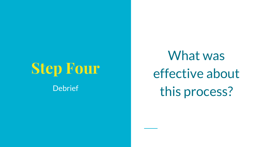# **Step Four Debrief**

What was effective about this process?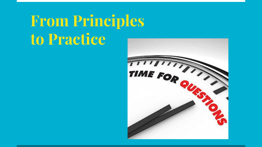# **From Principles to Practice**